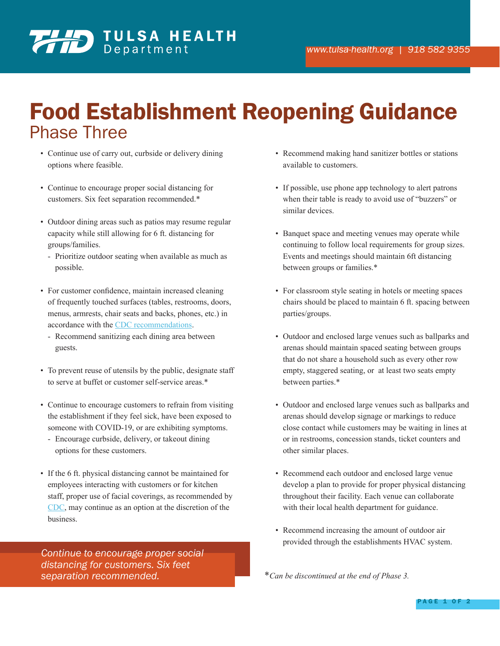

## Food Establishment Reopening Guidance Phase Three

- Continue use of carry out, curbside or delivery dining options where feasible.
- Continue to encourage proper social distancing for customers. Six feet separation recommended.\*
- Outdoor dining areas such as patios may resume regular capacity while still allowing for 6 ft. distancing for groups/families.
	- Prioritize outdoor seating when available as much as possible.
- For customer confidence, maintain increased cleaning of frequently touched surfaces (tables, restrooms, doors, menus, armrests, chair seats and backs, phones, etc.) in accordance with the CDC recommendations.
	- Recommend sanitizing each dining area between guests.
- To prevent reuse of utensils by the public, designate staff to serve at buffet or customer self-service areas.\*
- Continue to encourage customers to refrain from visiting the establishment if they feel sick, have been exposed to someone with COVID-19, or are exhibiting symptoms.
	- Encourage curbside, delivery, or takeout dining options for these customers.
- If the 6 ft. physical distancing cannot be maintained for employees interacting with customers or for kitchen staff, proper use of facial coverings, as recommended by CDC, may continue as an option at the discretion of the business.

*Continue to encourage proper social distancing for customers. Six feet separation recommended.*

- Recommend making hand sanitizer bottles or stations available to customers.
- If possible, use phone app technology to alert patrons when their table is ready to avoid use of "buzzers" or similar devices.
- Banquet space and meeting venues may operate while continuing to follow local requirements for group sizes. Events and meetings should maintain 6ft distancing between groups or families.\*
- For classroom style seating in hotels or meeting spaces chairs should be placed to maintain 6 ft. spacing between parties/groups.
- Outdoor and enclosed large venues such as ballparks and arenas should maintain spaced seating between groups that do not share a household such as every other row empty, staggered seating, or at least two seats empty between parties.\*
- Outdoor and enclosed large venues such as ballparks and arenas should develop signage or markings to reduce close contact while customers may be waiting in lines at or in restrooms, concession stands, ticket counters and other similar places.
- Recommend each outdoor and enclosed large venue develop a plan to provide for proper physical distancing throughout their facility. Each venue can collaborate with their local health department for guidance.
- Recommend increasing the amount of outdoor air provided through the establishments HVAC system.

\**Can be discontinued at the end of Phase 3.*